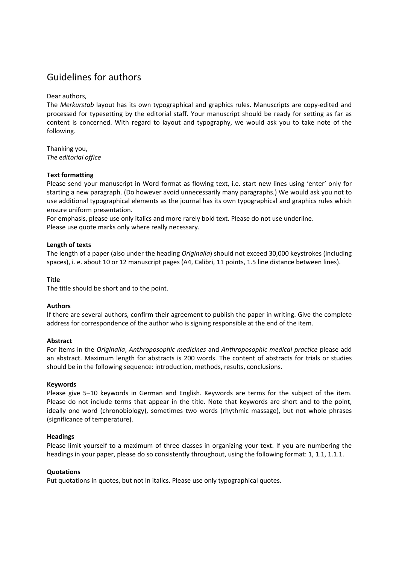# Guidelines for authors

Dear authors,

The *Merkurstab* layout has its own typographical and graphics rules. Manuscripts are copy-edited and processed for typesetting by the editorial staff. Your manuscript should be ready for setting as far as content is concerned. With regard to layout and typography, we would ask you to take note of the following.

Thanking you, *The editorial office* 

# **Text formatting**

Please send your manuscript in Word format as flowing text, i.e. start new lines using 'enter' only for starting a new paragraph. (Do however avoid unnecessarily many paragraphs.) We would ask you not to use additional typographical elements as the journal has its own typographical and graphics rules which ensure uniform presentation.

For emphasis, please use only italics and more rarely bold text. Please do not use underline. Please use quote marks only where really necessary.

# **Length of texts**

The length of a paper (also under the heading *Originalia*) should not exceed 30,000 keystrokes (including spaces), i. e. about 10 or 12 manuscript pages (A4, Calibri, 11 points, 1.5 line distance between lines).

## **Title**

The title should be short and to the point.

## **Authors**

If there are several authors, confirm their agreement to publish the paper in writing. Give the complete address for correspondence of the author who is signing responsible at the end of the item.

## **Abstract**

For items in the *Originalia*, *Anthroposophic medicines* and *Anthroposophic medical practice* please add an abstract. Maximum length for abstracts is 200 words. The content of abstracts for trials or studies should be in the following sequence: introduction, methods, results, conclusions.

## **Keywords**

Please give 5–10 keywords in German and English. Keywords are terms for the subject of the item. Please do not include terms that appear in the title. Note that keywords are short and to the point, ideally one word (chronobiology), sometimes two words (rhythmic massage), but not whole phrases (significance of temperature).

## **Headings**

Please limit yourself to a maximum of three classes in organizing your text. If you are numbering the headings in your paper, please do so consistently throughout, using the following format: 1, 1.1, 1.1.1.

## **Quotations**

Put quotations in quotes, but not in italics. Please use only typographical quotes.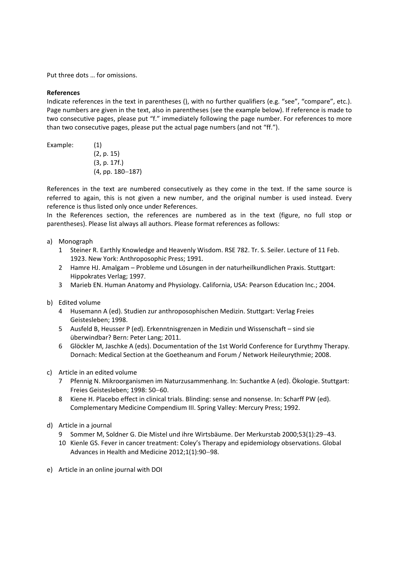Put three dots … for omissions.

# **References**

Indicate references in the text in parentheses (), with no further qualifiers (e.g. "see", "compare", etc.). Page numbers are given in the text, also in parentheses (see the example below). If reference is made to two consecutive pages, please put "f." immediately following the page number. For references to more than two consecutive pages, please put the actual page numbers (and not "ff.").

Example: (1)

(2, p. 15) (3, p. 17f.)  $(4, pp. 180-187)$ 

References in the text are numbered consecutively as they come in the text. If the same source is referred to again, this is not given a new number, and the original number is used instead. Every reference is thus listed only once under References.

In the References section, the references are numbered as in the text (figure, no full stop or parentheses). Please list always all authors. Please format references as follows:

## a) Monograph

- 1 Steiner R. Earthly Knowledge and Heavenly Wisdom. RSE 782. Tr. S. Seiler. Lecture of 11 Feb. 1923. New York: Anthroposophic Press; 1991.
- 2 Hamre HJ. Amalgam Probleme und Lösungen in der naturheilkundlichen Praxis. Stuttgart: Hippokrates Verlag; 1997.
- 3 Marieb EN. Human Anatomy and Physiology. California, USA: Pearson Education Inc.; 2004.

## b) Edited volume

- 4 Husemann A (ed). Studien zur anthroposophischen Medizin. Stuttgart: Verlag Freies Geistesleben; 1998.
- 5 Ausfeld B, Heusser P (ed). Erkenntnisgrenzen in Medizin und Wissenschaft sind sie überwindbar? Bern: Peter Lang; 2011.
- 6 Glöckler M, Jaschke A (eds). Documentation of the 1st World Conference for Eurythmy Therapy. Dornach: Medical Section at the Goetheanum and Forum / Network Heileurythmie; 2008.
- c) Article in an edited volume
	- 7 Pfennig N. Mikroorganismen im Naturzusammenhang. In: Suchantke A (ed). Ökologie. Stuttgart: Freies Geistesleben; 1998: 50-60.
	- 8 Kiene H. Placebo effect in clinical trials. Blinding: sense and nonsense. In: Scharff PW (ed). Complementary Medicine Compendium III. Spring Valley: Mercury Press; 1992.
- d) Article in a journal
	- 9 Sommer M, Soldner G. Die Mistel und ihre Wirtsbäume. Der Merkurstab 2000;53(1):2943.
	- 10 Kienle GS. Fever in cancer treatment: Coley's Therapy and epidemiology observations. Global Advances in Health and Medicine 2012;1(1):90-98.
- e) Article in an online journal with DOI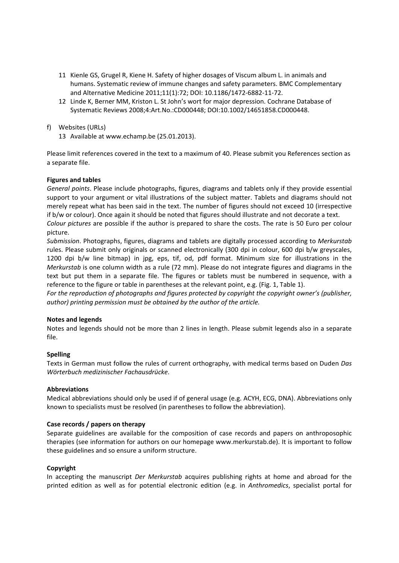- 11 Kienle GS, Grugel R, Kiene H. Safety of higher dosages of Viscum album L. in animals and humans. Systematic review of immune changes and safety parameters. BMC Complementary and Alternative Medicine 2011;11(1):72; DOI: 10.1186/1472-6882-11-72.
- 12 Linde K, Berner MM, Kriston L. St John's wort for major depression. Cochrane Database of Systematic Reviews 2008;4:Art.No.:CD000448; DOI:10.1002/14651858.CD000448.
- f) Websites (URLs)
	- 13 Available at www.echamp.be (25.01.2013).

Please limit references covered in the text to a maximum of 40. Please submit you References section as a separate file.

# **Figures and tables**

*General points*. Please include photographs, figures, diagrams and tablets only if they provide essential support to your argument or vital illustrations of the subject matter. Tablets and diagrams should not merely repeat what has been said in the text. The number of figures should not exceed 10 (irrespective if b/w or colour). Once again it should be noted that figures should illustrate and not decorate a text.

*Colour pictures* are possible if the author is prepared to share the costs. The rate is 50 Euro per colour picture.

*Submission*. Photographs, figures, diagrams and tablets are digitally processed according to *Merkurstab* rules. Please submit only originals or scanned electronically (300 dpi in colour, 600 dpi b/w greyscales, 1200 dpi b/w line bitmap) in jpg, eps, tif, od, pdf format. Minimum size for illustrations in the *Merkurstab* is one column width as a rule (72 mm). Please do not integrate figures and diagrams in the text but put them in a separate file. The figures or tablets must be numbered in sequence, with a reference to the figure or table in parentheses at the relevant point, e.g. (Fig. 1, Table 1).

*For the reproduction of photographs and figures protected by copyright the copyright owner's (publisher, author) printing permission must be obtained by the author of the article.* 

## **Notes and legends**

Notes and legends should not be more than 2 lines in length. Please submit legends also in a separate file.

## **Spelling**

Texts in German must follow the rules of current orthography, with medical terms based on Duden *Das Wörterbuch medizinischer Fachausdrücke*.

## **Abbreviations**

Medical abbreviations should only be used if of general usage (e.g. ACYH, ECG, DNA). Abbreviations only known to specialists must be resolved (in parentheses to follow the abbreviation).

## **Case records / papers on therapy**

Separate guidelines are available for the composition of case records and papers on anthroposophic therapies (see information for authors on our homepage www.merkurstab.de). It is important to follow these guidelines and so ensure a uniform structure.

## **Copyright**

In accepting the manuscript *Der Merkurstab* acquires publishing rights at home and abroad for the printed edition as well as for potential electronic edition (e.g. in *Anthromedics*, specialist portal for